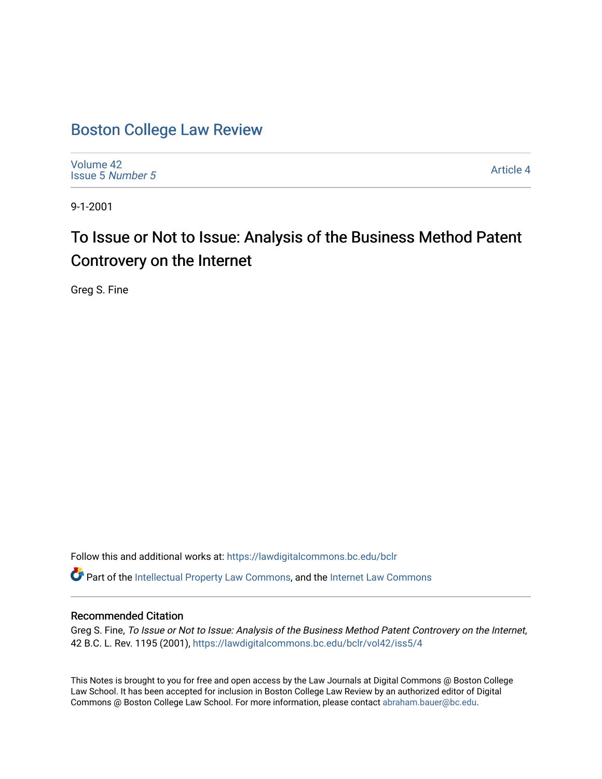# [Boston College Law Review](https://lawdigitalcommons.bc.edu/bclr)

[Volume 42](https://lawdigitalcommons.bc.edu/bclr/vol42) [Issue 5](https://lawdigitalcommons.bc.edu/bclr/vol42/iss5) Number 5

[Article 4](https://lawdigitalcommons.bc.edu/bclr/vol42/iss5/4) 

9-1-2001

# To Issue or Not to Issue: Analysis of the Business Method Patent Controvery on the Internet

Greg S. Fine

Follow this and additional works at: [https://lawdigitalcommons.bc.edu/bclr](https://lawdigitalcommons.bc.edu/bclr?utm_source=lawdigitalcommons.bc.edu%2Fbclr%2Fvol42%2Fiss5%2F4&utm_medium=PDF&utm_campaign=PDFCoverPages) 

Part of the [Intellectual Property Law Commons,](http://network.bepress.com/hgg/discipline/896?utm_source=lawdigitalcommons.bc.edu%2Fbclr%2Fvol42%2Fiss5%2F4&utm_medium=PDF&utm_campaign=PDFCoverPages) and the [Internet Law Commons](http://network.bepress.com/hgg/discipline/892?utm_source=lawdigitalcommons.bc.edu%2Fbclr%2Fvol42%2Fiss5%2F4&utm_medium=PDF&utm_campaign=PDFCoverPages) 

# Recommended Citation

Greg S. Fine, To Issue or Not to Issue: Analysis of the Business Method Patent Controvery on the Internet, 42 B.C. L. Rev. 1195 (2001), [https://lawdigitalcommons.bc.edu/bclr/vol42/iss5/4](https://lawdigitalcommons.bc.edu/bclr/vol42/iss5/4?utm_source=lawdigitalcommons.bc.edu%2Fbclr%2Fvol42%2Fiss5%2F4&utm_medium=PDF&utm_campaign=PDFCoverPages) 

This Notes is brought to you for free and open access by the Law Journals at Digital Commons @ Boston College Law School. It has been accepted for inclusion in Boston College Law Review by an authorized editor of Digital Commons @ Boston College Law School. For more information, please contact [abraham.bauer@bc.edu.](mailto:abraham.bauer@bc.edu)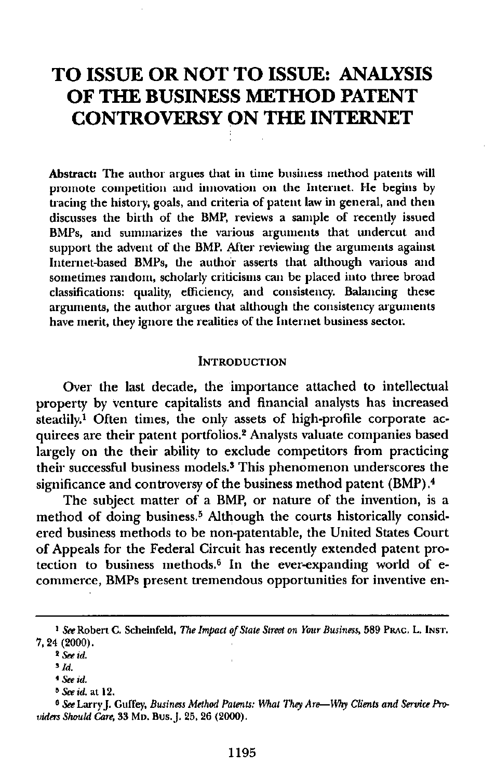# **TO ISSUE OR NOT TO ISSUE: ANALYSIS OF THE BUSINESS METHOD PATENT CONTROVERSY ON THE INTERNET**

**Abstract:** The author argues that in time business method patents will promote competition and innovation on the Internet. He begins by tracing the history, goals, and criteria of patent law in general, and then discusses the birth of the BMP, reviews a sample of recently issued BMPs, and summarizes the various arguments that undercut and support the advent of the BMP. After reviewing the arguments against Internet-based BMPs, the author asserts that although various and sometimes random, scholarly criticisms can be placed into three broad classifications: quality, efficiency, and consistency. Balancing these arguments, the author argues that although the consistency arguments have merit, they ignore the realities of the Internet business sector.

#### **INTRODUCTION**

Over the last decade, the importance attached to intellectual property by venture capitalists and financial analysts has increased  $\text{steadily}$ <sup>1</sup> Often times, the only assets of high-profile corporate acquirees are their patent portfolios.<sup>2</sup> Analysts valuate companies based largely on the their ability to exclude competitors from practicing their successful business models.<sup>3</sup> This phenomenon underscores the significance and controversy of the business method patent (BMP). <sup>4</sup>

The subject matter of a BMP, or nature of the invention, is a method of doing business.<sup>5</sup> Although the courts historically considered business methods to be non-patentable, the United States Court of Appeals for the Federal Circuit has recently extended patent protection to business methods.<sup>6</sup> In the ever-expanding world of ecommerce, BMPs present tremendous opportunities for inventive en-

*I See* Robert C. Scheinfeld, *The Impact of State Street on Your Business,* 589 PRAc. L. INs.r. 7, 24 (2000).

**<sup>2</sup>** *See Id.*

**<sup>3</sup>** *Id.*

*See id.*

**<sup>5</sup>** *See id.* at 12.

**<sup>6</sup>** *See* Larry.J. Guffey, *Business Method Patents: What They Are—Why Clients and Service Providers Should Care,* 33 Mn. Bus, J. 25, 26 (2000).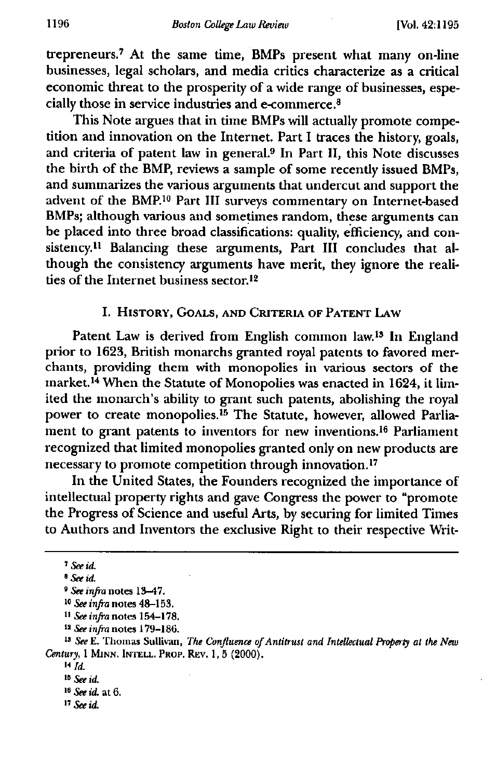**trepreneurs.7 At the same time, BMPs present what many on-line businesses, legal scholars, and media critics characterize as a critical economic threat to the prosperity of a wide range of businesses, especially those in service industries and e-commerce.8**

**This Note argues that in time BMPs will actually promote competition and innovation on the Internet. Part I traces the history, goals,** and criteria of patent law in general.<sup>9</sup> In Part II, this Note discusses **the birth of the BMP, reviews a sample of some recently issued BMPs, and summarizes the various arguments that undercut and support the advent of the BMP.'° Part III surveys commentary on Internet-based BMPs; although various and sometimes random, these arguments can be placed into three broad classifications: quality, efficiency, and con**sistency.<sup>11</sup> Balancing these arguments, Part III concludes that al**though the consistency arguments have merit, they ignore the realities of the Internet business sector. <sup>12</sup>**

## **I. HISTORY, GOALS, AND CRITERIA OF PATENT LAW**

Patent Law is derived from English common law.<sup>13</sup> In England **prior to 1623, British monarchs granted royal patents to favored merchants, providing them with monopolies in various sectors of the** market.<sup>14</sup> When the Statute of Monopolies was enacted in 1624, it lim**ited the monarch's ability to grant such patents, abolishing the royal** power to create monopolies.<sup>15</sup> The Statute, however, allowed Parlia**ment to grant patents to inventors for new inventions. 18 Parliament recognized that limited monopolies granted only on new products are necessary to promote competition through innovation. <sup>17</sup>**

**In the United States, the Founders recognized the importance of intellectual property rights and gave Congress the power to "promote the Progress of Science and useful Arts, by securing for limited Times to Authors and Inventors the exclusive Right to their respective Writ-**

*<sup>7</sup> See id.*

**<sup>8</sup>** *See id.*

*<sup>9</sup> See infra* **notes 13-47.**

**I°** *See infra* **notes 48-153.**

**II** *See infra* **notes 154-178.**

**U** *See infra* **notes 179-186.**

**<sup>18</sup>** *See* **E. Thomas Sullivan,** *The Confluence of Antitrust and Intellectual Property at the New Century,* **1 MINN. INTELL. PROP. REV. 1, 5 (2000).**

**<sup>14</sup>** *Id,*

**Its** *See id.*

**<sup>18</sup>** *See id.* **at 6.**

**<sup>17</sup>** *see id.*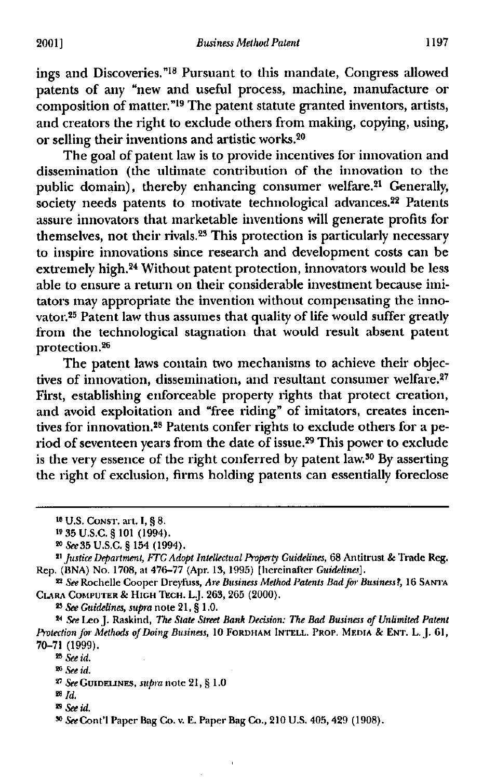ings and Discoveries." 18 Pursuant to this mandate, Congress allowed patents of any "new and useful process, machine, manufacture or composition of matter."<sup>19</sup> The patent statute granted inventors, artists, and creators the right to exclude others from making, copying, using, or selling their inventions and artistic works.<sup>20</sup>

The goal of patent law is to provide incentives for innovation and dissemination (the ultimate contribution of the innovation to the public domain), thereby enhancing consumer welfare.<sup>21</sup> Generally, society needs patents to motivate technological advances.<sup>22</sup> Patents assure innovators that marketable inventions will generate profits for themselves, not their rivals.<sup>23</sup> This protection is particularly necessary to inspire innovations since research and development costs can be extremely high. 24 Without patent protection, innovators would be less able to ensure a return on their considerable investment because imitators may appropriate the invention without compensating the innovator.25 Patent law thus assumes that quality of life would suffer greatly from the technological stagnation that would result absent patent protection.26

The patent laws contain two mechanisms to achieve their objectives of innovation, dissemination, and resultant consumer welfare.<sup>27</sup> First, establishing enforceable property rights that protect creation, and avoid exploitation and "free riding" of imitators, creates incentives for innovation.28 Patents confer rights to exclude others for a period of seventeen years from the date of issue. 29 This power to exclude is the very essence of the right conferred by patent law.<sup>30</sup> By asserting the right of exclusion, firms holding patents can essentially foreclose

**<sup>23</sup>** *See Guidelines, supra* note 21, § 1.0.

<sup>21</sup> *See* Leo J. Raskind, *The State Street Bank Decision: The Bad Business of Unlimited Patent Protection for Methods of Doing Business,* **10 FORDHAM INTELL. PROP. MEDIA & ENT.** L. J. 61, 70-71 (1999).

**<sup>23</sup>** *See id.*

**<sup>16</sup> U.S. CONST.** *art. I, §* 8.

**<sup>19</sup>** 35 U.S.C. § 101 (1994).

*<sup>&</sup>quot; See 35 U.S.C. §* 154 (1994).

*<sup>21</sup> Justice Department, ITC Adopt Intellectual Property Guidelines,* 68 Antitrust *&* Trade Reg. Rep. (13NA) No. 1708, at 476-77 (Apr. 13, 1995) [hereinafter *Guidelines].*

**<sup>22</sup>** *See* Rochelle Cooper Dreyfuss, *Are Business Method Patents Bad for Business!,* 16 **SANTA CLARA COMPUTER** *&* **HIGH** nut. L.J. 263, 265 (2000).

**<sup>26</sup>** *See id.*

*<sup>27</sup> See* **GUIDELINES,** *511Inn* note 21, § 1.0

*<sup>&</sup>quot; Id.*

**<sup>29</sup>** *See id.*

*<sup>&</sup>quot; See* Cont'l Paper Bag Co. v. E. Paper Bag Co., 210 U.S. 405, 429 (1908).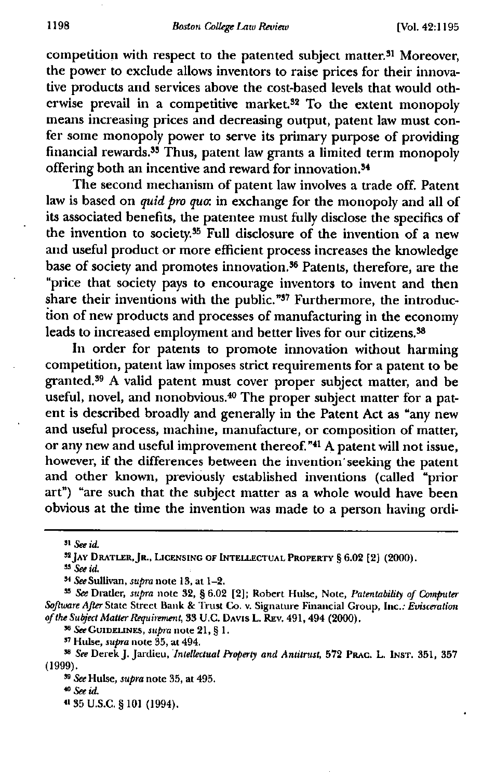competition with respect to the patented subject matter.<sup>31</sup> Moreover, the power to exclude allows inventors to raise prices for their innovative products and services above the cost-based levels that would otherwise prevail in a competitive market 32 To the extent monopoly means increasing prices and decreasing output, patent law must confer some monopoly power to serve its primary purpose of providing financial rewards.<sup>35</sup> Thus, patent law grants a limited term monopoly offering both an incentive and reward for innovation.<sup>34</sup>

The second mechanism of patent law involves a trade off. Patent law is based on quid *pro quo:* in exchange for the monopoly and all of its associated benefits, the patentee must fully disclose the specifics of the invention to society.<sup>35</sup> Full disclosure of the invention of a new and useful product or more efficient process increases the knowledge base of society and promotes innovation.<sup>36</sup> Patents, therefore, are the "price that society pays to encourage inventors to invent and then share their inventions with the public."37 Furthermore, the introduction of new products and processes of manufacturing in the economy leads to increased employment and better lives for our citizens.<sup>38</sup>

In order for patents to promote innovation without harming competition, patent law imposes strict requirements for a patent to be granted.<sup>39</sup> A valid patent must cover proper subject matter, and be useful, novel, and nonobvious.<sup>40</sup> The proper subject matter for a patent is described broadly and generally in the Patent Act as "any new and useful process, machine, manufacture, or composition of matter, or any new and useful improvement thereof. **"41** A patent will not issue, however, if the differences between the invention' seeking the patent and other known, previously established inventions (called "prior art") "are such that the subject matter as a whole would have been obvious at the time the invention was made to a person having ordi-

**<sup>56</sup>** *See* **GUIDELINES,** *supra* note 21, § 1.

**<sup>37</sup>** Hulse, *supra* note 35, at 494.

*sl See id.*

**<sup>32</sup> JAY DRATLER, JR., LICENSING OF INTELLECTUAL PROPERTY §** 6.02 [2) (2000)

**<sup>55</sup>** *See id.*

*<sup>.&</sup>quot; See* Sullivan, *supra* note 13, at 1-2.

**<sup>55</sup>** *See* Dratler, supra note 32, § 6.02 [2]; Robert Hulse, Note, *Patentability of Computer Software After* State Street Bank & Trust Co. v. Signature Financial Croup, Inc.: *Evisceration of the Subject Matter Requirement,* 33 **U.G. DAVIS** L. **REV,** 491, 494 (2000).

<sup>38</sup> *See* Derek .). Jardicu, *Intellectual Property and Antitrust,* 572 **PRAC.** L. **INST.** 351, 357 (1999).

*<sup>&</sup>quot; See* Hulse, *supra* note 35, at 495.

**<sup>40</sup>***see id.*

**<sup>41</sup>** 35 U.S.C. § 101 (1994).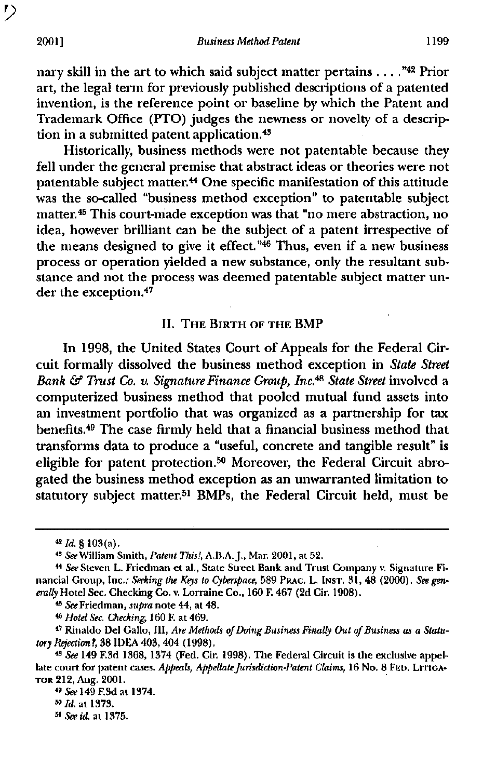nary skill in the art to which said subject matter pertains . **."42** Prior art, the legal term for previously published descriptions of a patented invention, is the reference point or baseline by which the Patent and Trademark Office (PTO) judges the newness or novelty of a description in a submitted patent application.<sup>43</sup>

Historically, business methods were not patentable because they fell under the general premise that abstract ideas or theories were not patentable subject matter.<sup>44</sup> One specific manifestation of this attitude was the so-called "business method exception" to patentable subject matter.<sup>45</sup> This court-made exception was that "no mere abstraction, no idea, however brilliant can be the subject of a patent irrespective of the means designed to give it effect." $46$  Thus, even if a new business process or operation yielded a new substance, only the resultant substance and not the process was deemed patentable subject matter under the exception.47

#### **II. THE BIRTH OF THE** BMP

In 1998, the United States Court of Appeals for the Federal Circuit formally dissolved the business method exception in *State Street Bank & Trust Co. v. Signature Finance Group, Inc. 48 State Street* involved a computerized business method that pooled mutual fund assets into an investment portfolio that was organized as a partnership for tax benefits.49 The case firmly held that a financial business method that transforms data to produce a "useful, concrete and tangible result" is eligible for patent protection.<sup>50</sup> Moreover, the Federal Circuit abrogated the business method exception as an unwarranted limitation to statutory subject matter.<sup>51</sup> BMPs, the Federal Circuit held, must be

*<sup>45</sup> See* Friedman, *supra* note 44, at 48,

<sup>48</sup> *Hotel Sec. Checking,* 160 F. at 469.

**<sup>9</sup>°** *Id.* at 1373.

**51** *See id.* at 1375.

*<sup>42</sup> Id. §* 103 (a) .

*<sup>42</sup> See* William Smith, *Patent This!,* A.B.A. J., Man 2001, at 52.

*<sup>&</sup>quot; See* Steven L. Friedman et al., State Street Bank and Trust Company v. Signature Financial Group, Inc.: *Seeking the Keys to Cyberspace,* 589 **FRAC. L. INST.** 31, 48 (2000). *See generally* Hotel Sec. Checking Co. v. Lorraine Co., 160 F. 467 (2d Cir. 1908).

<sup>47</sup> Rinaldo Del Gallo, III, *Are Methods of Doing Business Finally Out of Business as a Statutory Rejection?,* 38 IDEA 403, 404 (1998).

<sup>48</sup> *See* 149 F.3d 1368, 1374 (Fed. Cir. 1998). The Federal Circuit is the exclusive appellate court for patent cases. *Appeals, Appellate Jurisdiction-Patent Claims,* 16 No. 8 **FED. LITIGA-TOR** 212, Aug. 2001.

**<sup>49</sup>** *See* 149 F.3d at 1374.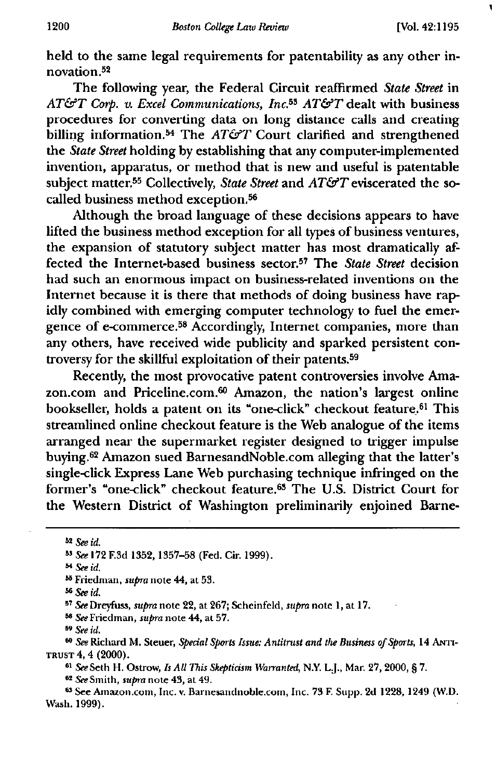۱

held to the same legal requirements for patentability as any other innovation.52

The following year, the Federal Circuit reaffirmed *State Street in AT&T col. v. Excel Communications, Inc.53 AT&T* dealt with business procedures for converting data on long distance calls and creating billing information.<sup>54</sup> The *AT&T* Court clarified and strengthened the *State Street* holding by establishing that any computer-implemented invention, apparatus, or method that is new and useful is patentable subject matter.55 Collectively, *State Street* and *AT&T* eviscerated the socalled business method exception.<sup>56</sup>

Although the broad language of these decisions appears to have lifted the business method exception for all types of business ventures, the expansion of statutory subject matter has most dramatically affected the Internet-based business sector.57 The *State Street* decision had such an enormous impact on business-related inventions on the Internet because it is there that methods of doing business have rapidly combined with emerging computer technology to fuel the emergence of e-commerce.58 Accordingly, Internet companies, more than any others, have received wide publicity and sparked persistent controversy for the skillful exploitation of their patents. <sup>59</sup>

Recently, the most provocative patent controversies involve Amazon.com and Priceline.com.68 Amazon, the nation's largest online bookseller, holds a patent on its "one-click" checkout feature.<sup>61</sup> This streamlined online checkout feature is the Web analogue of the items arranged near the supermarket register designed to trigger impulse buying.62 Amazon sued BarnesandNoble.com alleging that the latter's single-click Express Lane Web purchasing technique infringed on the former's "one-click" checkout feature. 63 The U.S. District Court for the Western District of Washington preliminarily enjoined Barne-

*55 See* Richard M. Steuer, *Special Sports Issue: Antitrust and the Business of Sports,* 14 **ANTI-TRUST** 4, 4 (2000).

**<sup>61</sup>** *See* Seth **H.** Ostrow, *Is All This Skepticism Warranted,* N.Y. Lj., Mar. 27, 2000, § 7.

*" See Smith, supra* note 43, at 49.

°See Amazon.com , Inc. v. Barnesandnoble.com, Inc. 73 F. Supp. 2d 1228, 1249 (W.D. Wash. 1999).

**<sup>52</sup>** *See id.*

**<sup>55</sup>** *See* 172 F.3d 1352, 1357-58 (Fed. Cir. 1999).

**<sup>54</sup>** *See id.*

**<sup>65</sup>** Friedman, supra note 44, at 53.

**<sup>66</sup>** *See id.*

*<sup>57</sup> See* Dreyfuss, *supra* note 22, at 267; Scheinfeld, *supra* note 1, at 17.

*<sup>&</sup>quot; See* Friedman, *supra* note 44, at 57.

*<sup>&</sup>quot; See id.*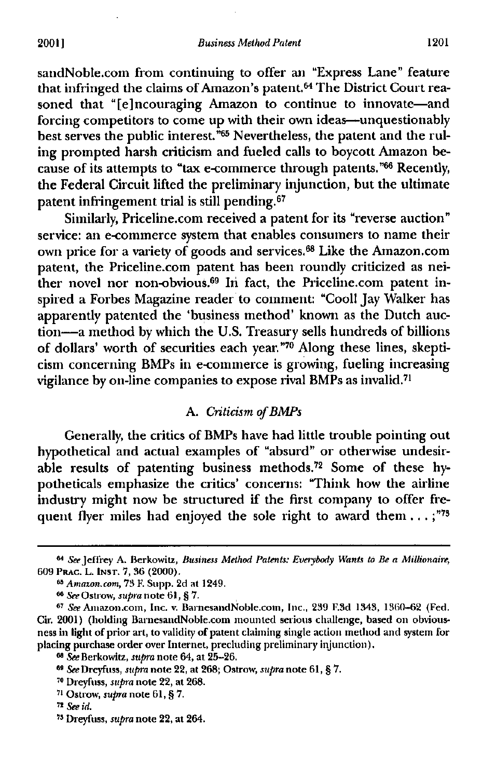sandNoble.com from continuing to offer an "Express Lane" feature that infringed the claims of Amazon's patent.<sup>64</sup> The District Court reasoned that "[e] ncouraging Amazon to continue to innovate—and forcing competitors to come up with their own ideas—unquestionably best serves the public interest."<sup>65</sup> Nevertheless, the patent and the ruling prompted harsh criticism and fueled calls to boycott Amazon because of its attempts to "tax e-commerce through patents."66 Recently, the Federal Circuit lifted the preliminary injunction, but the ultimate patent infringement trial is still pending. <sup>67</sup>

Similarly, Priceline.com received a patent for its "reverse auction" service: an e-commerce system that enables consumers to name their own price for a variety of goods and services.<sup>68</sup> Like the Amazon.com patent, the Priceline.com patent has been roundly criticized as neither novel nor non-obvious.<sup>69</sup> In fact, the Priceline.com patent inspired a Forbes Magazine reader to comment: "Cool! Jay Walker has apparently patented the 'business method' known as the Dutch auction—a method by which the U.S. Treasury sells hundreds of billions of dollars' worth of securities each year."70 Along these lines, skepticism concerning BMPs in e-commerce is growing, fueling increasing vigilance by on-line companies to expose rival BMPs as invalid."

#### A. *Criticism of BMPs*

Generally, the critics of BMPs have had little trouble pointing out hypothetical and actual examples of "absurd" or otherwise undesirable results of patenting business methods. 72 Some of these hypotheticals emphasize the critics' concerns: "Think how the airline industry might now be structured if the first company to offer frequent flyer miles had enjoyed the sole right to award them  $\dots$ ;"<sup>73</sup>

**<sup>64</sup>** *See* Jeffrey A. Berkowitz, *Business Method Patents: Everybody Wants to Be a Millionaire,* 609 **Pane.** L. **INST.** 7, 36 (2000).

*Amazon.com,* 73 F. Stipp. 2d at 1249.

<sup>613</sup> *See* Ostrow, *supra* note 61, § 7.

**<sup>67</sup>** *See* Amazon.com , Inc. v. BarnesandNoble.com , Inc., 239 F.3d 1343, 1360-62 (Fed. Cir. 2001) (holding BarnesandNoble.com mounted serious challenge, based on obviousness in light of prior art, to validity of patent claiming single action method and system for placing purchase order over Internet, precluding preliminary injunction).

<sup>133</sup> *See* Berkowitz, *supra* note 64, at 25-26.

*as See* Dreyfuss, *supra* note 22, at 268; Ostrow, *supra* note 61, § 7.

**<sup>76</sup>** Dreyfuss, *supra* note 22, at 268.

<sup>71</sup> Ostrow, *supra* note 61, § 7.

<sup>73</sup> *See id.*

<sup>77</sup> Dreyfuss, *supra* note 22, at 264.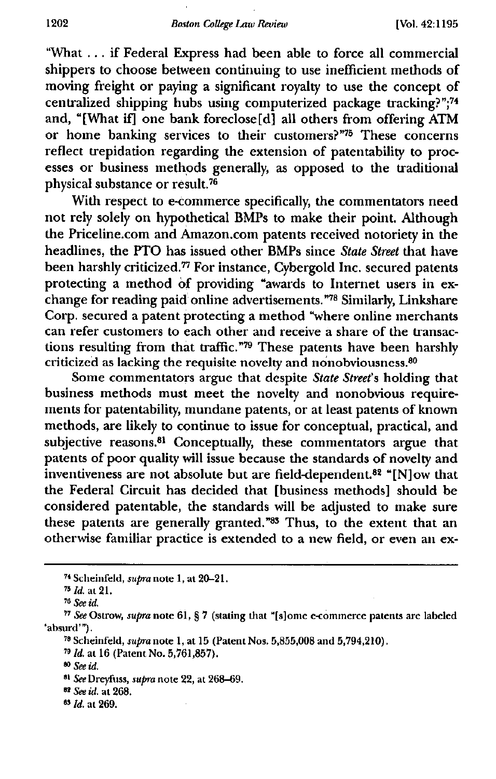**"What . . . if Federal Express had been able to force all commercial shippers to choose between continuing to use inefficient methods of moving freight or paying a significant royalty to use the concept of centralized shipping hubs using computerized package tracking?"; <sup>74</sup> and, "[What if] one bank foreclose [d] all others from offering ATM or home banking services to their customers?"78 These concerns reflect trepidation regarding the extension of patentability to processes or business methods generally, as opposed to the traditional physical substance or result."**

**With respect to e-commerce specifically, the commentators need not rely solely on hypothetical BMPs to make their point. Although the Priceline.com and Amazon.com patents received notoriety in the headlines, the PTO has issued other BMPs since** *State Street* **that have been harshly criticized." For instance, Cybergold Inc. secured patents protecting a method of providing "awards to Internet users in exchange for reading paid online advertisements?" Similarly, Linkshare Corp. secured a patent protecting a method "where online merchants can refer customers to** each other **and receive a share of the transac**tions resulting from that traffic."<sup>79</sup> These patents have been harshly criticized as lacking the requisite novelty and nonobviousness.<sup>80</sup>

**Some commentators argue that despite** *State Street's* **holding that business methods must meet the novelty and nonobvious requirements for patentability, mundane patents, or at least patents of known methods, are likely to continue to issue for conceptual, practical, and subjective reasons.81 Conceptually, these commentators argue that patents of poor quality will issue because the standards of novelty and inventiveness are not absolute but are field-dependent. 82 "[N]ow that the Federal Circuit has decided that [business methods] should be considered patentable, the standards will be adjusted to make sure these patents are generally granted: 13 Thus, to the extent that an otherwise familiar practice is extended to a new field, or even an ex-**

**<sup>74</sup>** Scheinfeld, supra note 1, at 20-21.

*<sup>&</sup>quot; Id.* at 21.

**<sup>79</sup>** *See id.*

**<sup>77</sup>** *See* Ostrow, *supra* note 61, § 7 (stating that "[s]ome e-commerce patents are labeled 'absurd'").

**<sup>79</sup>** Scheinfeld, *supra* note 1, at 15 (Patent Nos. 5,855,008 and 5,794,210).

**<sup>79</sup>** *Id.* at 16 (Patent No. 5,761,857),

<sup>90</sup> *See id.*

**<sup>91</sup>** *See* Dreyfuss, *supra* note 22, at 268-69.

*<sup>&</sup>quot; See id.* at 268.

*Id.* at 269.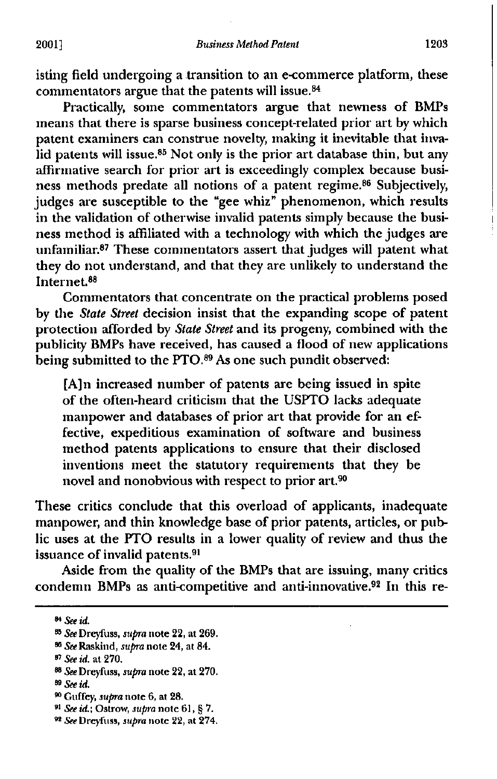isting field undergoing a transition to an e-commerce platform, these commentators argue that the patents will issue. <sup>84</sup>

Practically, some commentators argue that newness of BMPs means that there is sparse business concept-related prior art by which patent examiners can construe novelty, making it inevitable that invalid patents will issue.<sup>85</sup> Not only is the prior art database thin, but any affirmative search for prior art is exceedingly complex because business methods predate all notions of a patent regime. 86 Subjectively, judges are susceptible to the "gee whiz" phenomenon, which results in the validation of otherwise invalid patents simply because the business method is affiliated with a technology with which the judges are unfamiliar.<sup>87</sup> These commentators assert that judges will patent what they do not understand, and that they are unlikely to understand the Internet. <sup>88</sup>

Commentators that concentrate on the practical problems posed by the *State Street* decision insist that the expanding scope of patent protection afforded by *State Street* and its progeny, combined with the publicity BMPs have received, has caused a flood of new applications being submitted to the PTO.<sup>89</sup> As one such pundit observed:

[A]n increased number of patents are being issued in spite of the often-heard criticism that the USPTO lacks adequate manpower and databases of prior art that provide for an effective, expeditious examination of software and business method patents applications to ensure that their disclosed inventions meet the statutory requirements that they be novel and nonobvious with respect to prior art.<sup>90</sup>

These critics conclude that this overload of applicants, inadequate manpower, and thin knowledge base of prior patents, articles, or public uses at the PTO results in a lower quality of review and thus the issuance of invalid patents.<sup>91</sup>

Aside from the quality of the BMPs that are issuing, many critics condemn BMPs as anti-competitive and anti-innovative. 82 In this re-

*<sup>88</sup> See* Dreyfuss, *supra* note 22, at 270.

- **<sup>81</sup>** *See id.;* Ostrow, *supra* note 61, § 7.
- *" See* Dreyfuss, supra note 22, at 274.

**<sup>84</sup>** *See id.*

*See* Dreyfuss, *supra* note 22, at 269.

<sup>66</sup> *See* Raskind, *supra* note 24, at 84.

<sup>67</sup> *See id.* at 270.

*as See id.*

<sup>&</sup>lt;sup>90</sup> Guffey, *supra* note 6, at 28.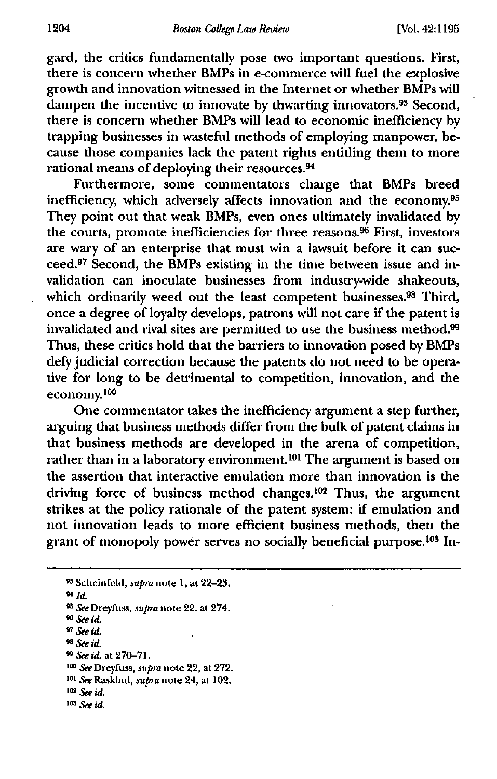gard, the critics fundamentally pose two important questions. First, there is concern whether BMPs in e-commerce will fuel the explosive growth and innovation witnessed in the Internet or whether BMPs will dampen the incentive to innovate by thwarting innovators.<sup>93</sup> Second, there is concern whether BMPs will lead to economic inefficiency by trapping businesses in wasteful methods of employing manpower, because those companies lack the patent rights entitling them to more rational means of deploying their resources.<sup>94</sup>

Furthermore, some commentators charge that BMPs breed inefficiency, which adversely affects innovation and the economy.<sup>95</sup> They point out that weak BMPs, even ones ultimately invalidated by the courts, promote inefficiencies for three reasons. 96 First, investors are wary of an enterprise that must win a lawsuit before it can succeed.<sup>97</sup> Second, the BMPs existing in the time between issue and invalidation can inoculate businesses from industry-wide shakeouts, which ordinarily weed out the least competent businesses.<sup>98</sup> Third, once a degree of loyalty develops, patrons will not care if the patent is invalidated and rival sites are permitted to use the business method.<sup>99</sup> Thus, these critics hold that the barriers to innovation posed by BMPs defy judicial correction because the patents do not need to be operative for long to be detrimental to competition, innovation, and the economy.<sup>100</sup>

One commentator takes the inefficiency argument a step further, arguing that business methods differ from the bulk of patent claims in that business methods are developed in the arena of competition, rather than in a laboratory environment.<sup>101</sup> The argument is based on the assertion that interactive emulation more than innovation is the driving force of business method changes.<sup>102</sup> Thus, the argument strikes at the policy rationale of the patent system: if emulation and not innovation leads to more efficient business methods, then the grant of monopoly power serves no socially beneficial purpose.<sup>103</sup> In-

**<sup>94</sup>** *Id.*

9° *See id.*

*<sup>97</sup> See id.*

*<sup>98</sup> See id.* **<sup>99</sup>** *See id.* at 270-71.

<sup>100</sup> *See* Dreyfuss, *supra* note 22, at 272. <sup>101</sup> *See* Ftaskind, *supra* note 24, at 102.

102 See id.

**103** *See id.*

**<sup>99</sup>**Scheinfeld, supra note 1, at 22-23.

*<sup>99</sup> See* Dreyfuss, *supra* note 22, at 274.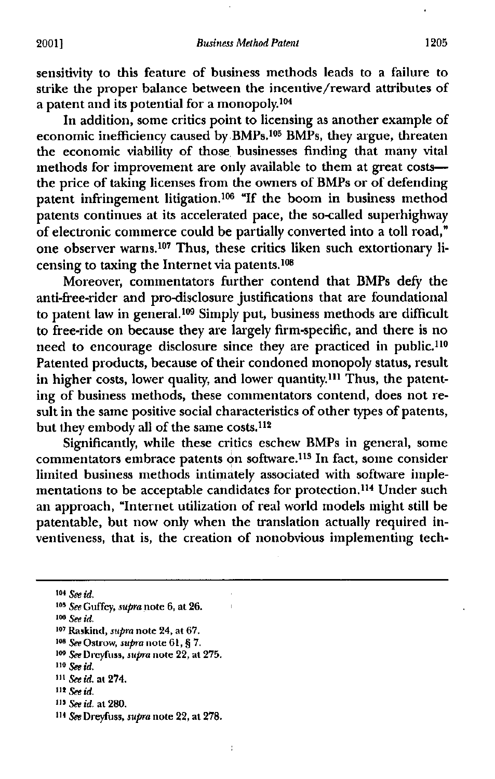sensitivity to this feature of business methods leads to a failure to strike the proper balance between the incentive/reward attributes of a patent and its potential for a monopoly. <sup>104</sup>

In addition, some critics point to licensing as another example of economic inefficiency caused by BMPs.<sup>105</sup> BMPs, they argue, threaten the economic viability of those, businesses finding that many vital methods for improvement are only available to them at great costs the price of taking licenses from the owners of BMPs or of defending patent infringement litigation.<sup>106</sup> "If the boom in business method patents continues at its accelerated pace, the so-called superhighway of electronic commerce could be partially converted into a toll road," one observer warns.<sup>107</sup> Thus, these critics liken such extortionary licensing to taxing the Internet via patents. $108$ 

Moreover, commentators further contend that BMPs defy the anti-free-rider and pro-disclosure justifications that are foundational to patent law in general.<sup>109</sup> Simply put, business methods are difficult to free-ride on because they are largely firm-specific, and there is no need to encourage disclosure since they are practiced in public.<sup>110</sup> Patented products, because of their condoned monopoly status, result in higher costs, lower quality, and lower quantity.<sup>111</sup> Thus, the patenting of business methods, these commentators contend, does not result in the same positive social characteristics of other types of patents, but they embody all of the same costs.<sup>112</sup>

Significantly, while these critics eschew BMPs in general, some commentators embrace patents on software.<sup>113</sup> In fact, some consider limited business methods intimately associated with software implementations to be acceptable candidates for protection.<sup>114</sup> Under such an approach, "Internet utilization of real world models might still be patentable, but now only when the translation actually required inventiveness, that is, the creation of nonobvious implementing tech-

t

**<sup>104</sup>***see id,*

*"5 See Guffey, supra* note 6, at 26.

- <sup>112</sup>*see Id.*
- **<sup>113</sup>** *See id.* at 280.

<sup>00</sup> *See id.*

**<sup>107</sup>** Raskind, supra note 24, at 67.

<sup>108</sup> *See* Ostrow, *supra* note 61, § 7.

**<sup>103</sup>** *See* Dreyluss, supra note 22, at 275.

*<sup>110</sup> See id,*

**<sup>111</sup>** *See id. at* 274.

**<sup>114</sup>** *See* Dreyfuss, supra note 22, *at* 278.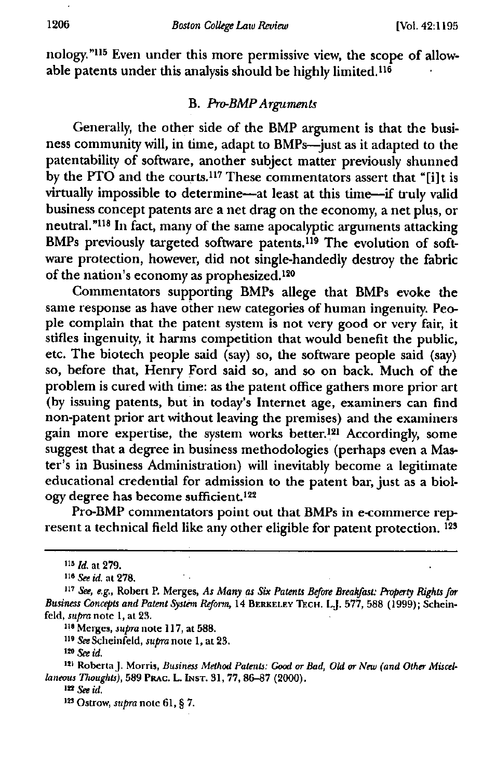nology."<sup>115</sup> Even under this more permissive view, the scope of allow**able patents under this analysis should be highly limited. <sup>116</sup>**

## **B.** *Pro-BMP Arguments*

**Generally, the other side of the BMP argument is that the business community will, in time, adapt to BMPs—just as it adapted to the patentability of software, another subject matter previously shunned by the PTO and the courts. 117 These commentators assert that "[i] t is virtually impossible to determine—at least at this time—if truly valid business concept patents are a net drag on the economy, a net plus, or** neutral.<sup>"118</sup> In fact, many of the same apocalyptic arguments attacking BMPs previously targeted software patents.<sup>119</sup> The evolution of soft**ware protection, however, did not single-handedly destroy the fabric of the nation's economy as prophesized. 12°**

**Commentators supporting BMPs allege that BMPs evoke the same response as have other new categories of human ingenuity. People complain that the patent system is not very good or very fair, it stifles ingenuity, it harms competition that would benefit the public, etc. The biotech people said (say) so, the software people said (say) so, before that, Henry Ford said so, and so on back. Much of the problem is cured with time: as the patent office gathers more prior art (by issuing patents, but in today's Internet age, examiners can find non-patent prior art without leaving the premises) and the examiners gain more expertise, the system works better."' Accordingly, some suggest that a degree in business methodologies (perhaps even a Master's in Business Administration) will inevitably become a legitimate educational credential for admission to the patent bar, just as a biology degree has become sufficient. <sup>122</sup>**

**Pro-BMP commentators point out that BMPs in e-commerce represent a technical field like any other eligible for patent protection. 123**

**<sup>118</sup> Merges, supra note 117, at 588.**

**<sup>119</sup>** *See* **Scheinfeld, supra note 1, at 23.**

**121 Roberta J. Morris,** *Business Method Patents: Good or Bad, Obi or New (and Other Miscellaneous Thoughts),* **589 PRAC. L. INST. 31, 77, 86-87 (2000).**

**in** *See id.*

**<sup>116</sup>** *Id. at* **279.**

**<sup>116</sup>** *See id. at* **278.**

**<sup>117</sup>** *See, e.g.,* **Robert P. Merges,** *As Many as Six Patents Before Breakfast: Property Rights for Business Concepts and Patent System Reform,* **14 BERKELEY TECH. L.J. 577, 588 (1999); Scheinfeld,** *supra* **note 1, at 23.**

**<sup>1</sup>"** *See id.*

**<sup>193</sup> Ostrow, supra note 61, § 7.**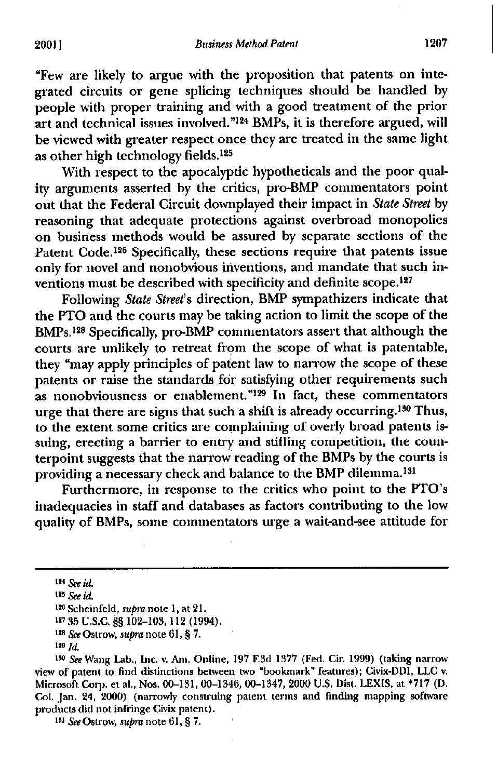"Few are likely to argue with the proposition that patents on integrated circuits or gene splicing techniques should be handled by people with proper training and with a good treatment of the prior art and technical issues involved."<sup>124</sup> BMPs, it is therefore argued, will be viewed with greater respect once they are treated in the same light as other high technology fields.<sup>125</sup>

With respect to the apocalyptic hypotheticals and the poor quality arguments asserted by the critics, pro-BMP commentators point out that the Federal Circuit downplayed their impact in *State Street* by reasoning that adequate protections against overbroad monopolies on business methods would be assured by separate sections of the Patent Code.<sup>126</sup> Specifically, these sections require that patents issue only for novel and nonobvious inventions, and mandate that such inventions must be described with specificity and definite scope.127

Following *State Street's* direction, BMP sympathizers indicate that the PTO and the courts may be taking action to limit the scope of the BMPs. 128 Specifically, pro-BMP commentators assert that although the courts are unlikely to retreat from the scope of what is patentable, they "may apply principles of patent law to narrow the scope of these patents or raise the standards for satisfying other requirements such  $\frac{1}{2}$  as nonobviousness or enablement.<sup>"129</sup> In fact, these commentators urge that there are signs that such a shift is already occurring.<sup>130</sup> Thus, to the extent some critics are complaining of overly broad patents issuing, erecting a barrier to entry and stifling competition, the counterpoint suggests that the narrow reading of the BMPs by the courts is providing a necessary check and balance to the BMP dilemma. <sup>151</sup>

Furthermore, in response to the critics who point to the PTO's inadequacies in staff and databases as factors contributing to the low quality of BMPs, some commentators urge a wait-and-see attitude for

**<sup>124</sup>***see id.*

**<sup>125</sup>** *See id.*

**<sup>129</sup>** Scheinfeld, supra note 1, at 21.

**<sup>127</sup> 35** U.S.C. §§ 102-103, 112 (1994).

**<sup>128</sup>** *See* Ostrow, *supra* note 61, § 7.

*<sup>1</sup> " See* Wang Lab., Inc. v. Am. Online, 197 F.3d 1377 (Fed. Cir. 1999) (taking narrow view of patent to find distinctions between two "bookmark" features); Civix-DDI, LLC v. Microsoft Corp. et al., Nos. 00-131, 00-1346, 00-1347, 2000 U.S Dist. LEXIS, at \*717 (D. Col. Jan. 24, 2000) (narrowly construing patent terms and finding mapping software products did not infringe Civix patent).

**<sup>151</sup>***See* Ostrow, *supra* note 61, § 7.

**<sup>129</sup>** *Id.*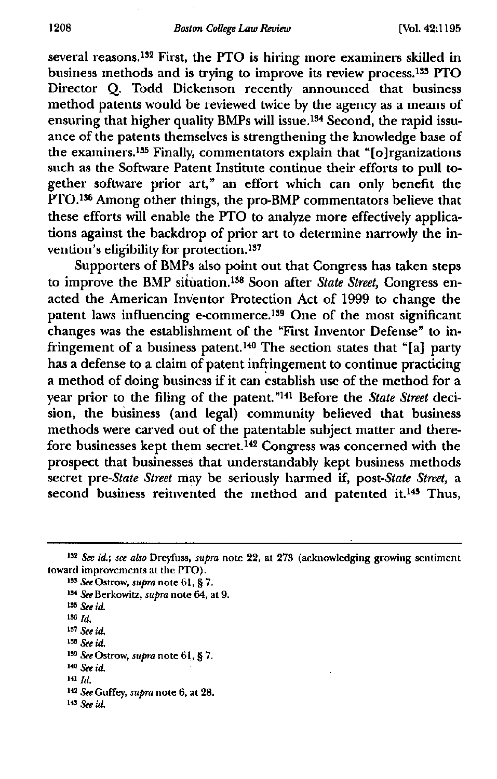several reasons.<sup>132</sup> First, the PTO is hiring more examiners skilled in **business methods and is trying to improve its review process. 133 PTO Director Q. Todd Dickenson recently announced that business method patents would be reviewed twice by the agency as a means of ensuring that higher quality BMPs will issue. 134 Second, the rapid issuance of the patents themselves is strengthening the knowledge base of the examiners. 135 Finally, commentators explain that "[0] rganizations** such as the Software Patent Institute continue their efforts to pull to**gether software prior art," an effort which can only benefit the** PTO.<sup>136</sup> Among other things, the pro-BMP commentators believe that **these efforts will enable the PTO to analyze more effectively applications against the backdrop of prior art to determine narrowly the in**vention's eligibility for protection.<sup>137</sup>

**Supporters of BMPs also point out that Congress has taken steps** to improve the BMP situation.<sup>138</sup> Soon after *State Street*, Congress en**acted the American InVentor Protection Act of 1999 to change the patent laws influencing e-commerce. 139 One of the most significant changes was the establishment of the "First Inventor Defense" to in**fringement of a business patent.<sup>140</sup> The section states that "[a] party **has a defense to a claim of patent infringement to continue practicing a method of doing business if it can establish use of the method for a year prior to the filing of the patent." 141 Before the** *State Street* **decision, the business (and legal) community believed that business methods were carved out of the patentable subject matter and therefore businesses kept them secret. 142 Congress was concerned with the prospect that businesses that understandably kept business methods secret** *pre-State Street* **may be seriously harmed if,** *post-State Street,* **a second business reinvented the method and patented it. 143 Thus,**

- **<sup>134</sup>** *See* **Berkowitz,** *supra* **note 64, at 9.**
- **<sup>133</sup>** *See id.*
- **136** *Id.*
- **<sup>I</sup> "** *See id.*
- *Bs See id.*
- **<sup>133</sup>** *See* **Ostrow,** *supra* **note 61, § 7.**
- **140** *See Id.*
- **141** *Id.*
- **<sup>142</sup>** *See* **Coffey,** *supra* **note 6, at 28.**
- **143** *See*

*in See id.; see also* **Dreyfuss,** *supra* **note 22, at 273 (acknowledging growing sentiment toward improvements at the PTO).**

**<sup>133</sup>** *See* **Ostrow,** *supra* **note 61, § 7.**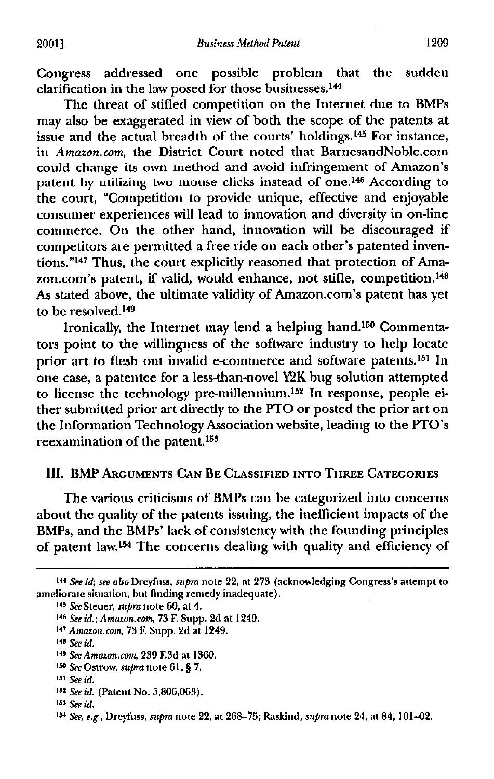Congress addressed one possible problem that the sudden clarification in the law posed for those businesses.<sup>144</sup>

The threat of stifled competition on the Internet due to BMPs may also be exaggerated in view of both the scope of the patents at issue and the actual breadth of the courts' holdings. 145 For instance, in *Amazon.com,* the District Court noted that BarnesandNoble.com could change its own method and avoid infringement of Amazon's patent by utilizing two mouse clicks instead of one.<sup>146</sup> According to the court, "Competition to provide unique, effective and enjoyable consumer experiences will lead to innovation and diversity in on-line commerce. On the other hand, innovation will be discouraged if competitors are permitted a free ride on each other's patented inventions."147 Thus, the court explicitly reasoned that protection of Amazon.com's patent, if valid, would enhance, not stifle, competition. <sup>149</sup> As stated above, the ultimate validity of Amazon.com's patent has yet to be resolved.<sup>149</sup>

Ironically, the Internet may lend a helping hand.<sup>150</sup> Commentators point to the willingness of the software industry to help locate prior art to flesh out invalid e-commerce and software patents.<sup>151</sup> In one case, a patentee for a less-than-novel 12K bug solution attempted to license the technology pre-millennium. 152 In response, people either submitted prior art directly to the PTO or posted the prior art on the Information Technology Association website, leading to the PTO's reexamination of the patent. <sup>153</sup>

## III. BMP **ARGUMENTS CAN BE CLASSIFIED INTO THREE CATEGORIES**

The various criticisms of BMPs can be categorized into concerns about the quality of the patents issuing, the inefficient impacts of the BMPs, and the BMPs' lack of consistency with the founding principles of patent law. 154 The concerns dealing with quality and efficiency of

<sup>144</sup> See id; see also Dreyfuss, supra note 22, at 273 (acknowledging Congress's attempt to ameliorate situation, but finding remedy inadequate).

**<sup>145</sup>** *See* Steuer, *supra* note 60, at 4.

**<sup>145</sup>** *See id.; Amazon.com,* 73 F. Supp. 2d at 1249.

**<sup>147</sup>** *Amazon.com,* 73 F. Supp. 2d at 1249.

**<sup>145</sup>** *See id.*

**<sup>149</sup>** *See Amazon,corn,* 239 F.3d at 1360.

<sup>15</sup>° *See Ostrow, supra* note 61, § 7.

**<sup>151</sup>** *See id.*

**<sup>152</sup>** *See id.* (Patent No. 5,806,063).

**<sup>153</sup>** *See id.*

**<sup>154</sup>** *See, e.g.,* Dreyfuss, *supra* note 22, at 268-75; Raskind, *supra* note 24, at 84, 101-02.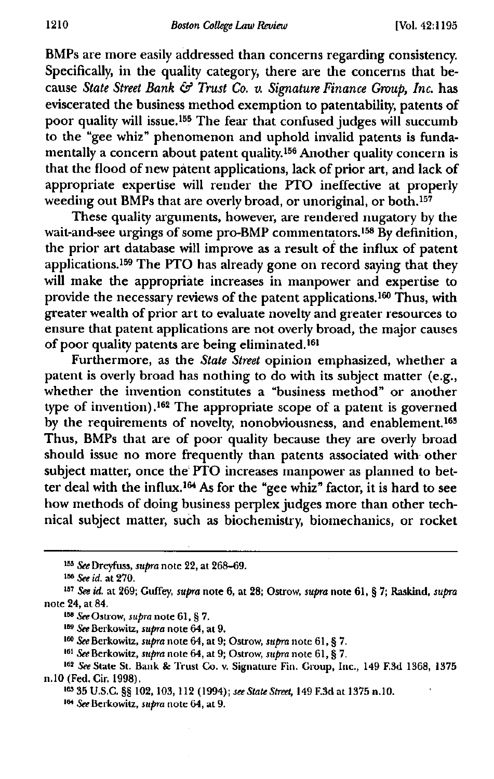BMPs are more easily addressed than concerns regarding consistency. Specifically, in the quality category, there are the concerns that because *State Street Bank & Trust Co. v. Signature Finance Group, Inc.* has eviscerated the business method exemption to patentability, patents of poor quality will issue. 155 The fear that confused judges will succumb to the "gee whiz" phenomenon and uphold invalid patents is fundamentally a concern about patent quality. 156 Another quality concern is that the flood of new patent applications, lack of prior art, and lack of appropriate expertise will render the PTO ineffective at properly weeding out BMPs that are overly broad, or unoriginal, or both.<sup>157</sup>

These quality arguments, however, are rendered nugatory by the wait-and-see urgings of some pro-BMP commentators.<sup>158</sup> By definition, the prior art database will improve as a result of the influx of patent applications. 159 The PTO has already gone on record saying that they will make the appropriate increases in manpower and expertise to provide the necessary reviews of the patent applications. 160 Thus, with greater wealth of prior art to evaluate novelty and greater resources to ensure that patent applications are not overly broad, the major causes of poor quality patents are being eliminated.<sup>161</sup>

Furthermore, as the *State Street* opinion emphasized, whether a patent is overly broad has nothing to do with its subject matter (e.g., whether the invention constitutes a "business method" or another type of invention) **. <sup>162</sup>** The appropriate scope of a patent is governed by the requirements of novelty, nonobviousness, and enablement.<sup>163</sup> Thus, BMPs that are of poor quality because they are overly broad should issue no more frequently than patents associated with other subject matter, once the PTO increases manpower as planned to better deal with the influx.<sup>164</sup> As for the "gee whiz" factor, it is hard to see how methods of doing business perplex judges more than other technical subject matter, such as biochemistry, biomechanics, or rocket

<sup>&</sup>lt;sup>155</sup> See Dreyfuss, *supra* note 22, at 268-69.

**<sup>136</sup>** *See id.* at 270.

**<sup>137</sup>** *See id.* at 269; Cuffey, *supra* note 6, at 28; Ostrow, *supra* note 61, § 7; Raskind, *supra* note 24, at 84.

usa *See* Ostrow, *supra* note 61, § 7.

**<sup>169</sup>** *See* Berkowitz, *supra* note 64, at 9.

**<sup>160</sup>** *See* Berkowitz, supra note 64, at 9; Ostrow, *supra* note 61, § 7.

**<sup>161</sup>** *See* Berkowitz, *supra* note 64, at 9; Ostrow, supra note 61, § 7.

**<sup>162</sup>** *See State* St. Bank & Trust Co. v. Signature Fin. Group, Inc., 149 F.3d 1368, 1375 n.10 (Fed. Cir. 1998).

**<sup>18,7</sup>** U.S.C. §§ 102, 103, 112 (1994); *see State Street,* 149 F.3d at 1375 n.10.

<sup>184</sup>*See* Berkowitz, *supra* note 64, at 9.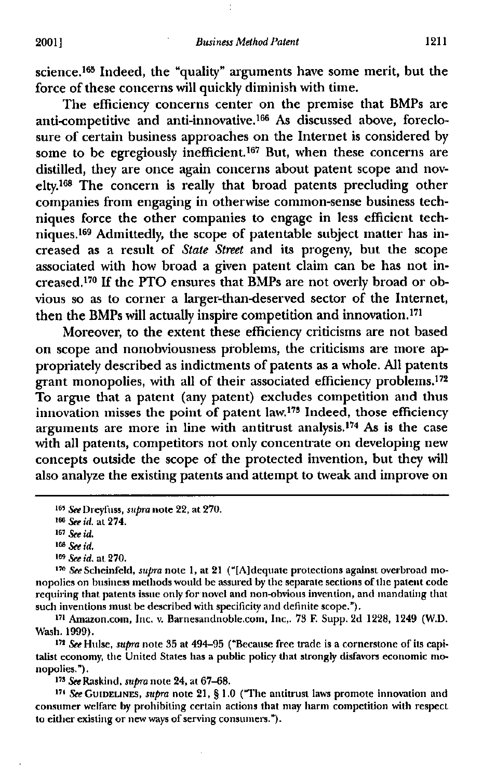science. 165 Indeed, the "quality" arguments have some merit, but the force of these concerns will quickly diminish with time.

The efficiency concerns center on the premise that BMPs are anti-competitive and anti-innovative. 166 As discussed above, foreclosure of certain business approaches on the Internet is considered by some to be egregiously inefficient.<sup>167</sup> But, when these concerns are distilled, they are once again concerns about patent scope and novelty. 169 The concern is really that broad patents precluding other companies from engaging in otherwise common-sense business techniques force the other companies to engage in less efficient techniques. 169 Admittedly, the scope of patentable subject matter has increased as a result of State Street and its progeny, but the scope associated with how broad a given patent claim can be has not increased. 17° If the PTO ensures that BMPs are not overly broad or obvious so as to corner a larger-than-deserved sector of the Internet, then the BMPs will actually inspire competition and innovation.<sup>171</sup>

Moreover, to the extent these efficiency criticisms are not based on scope and nonobviousness problems, the criticisms are more appropriately described as indictments of patents as a whole. All patents grant monopolies, with all of their associated efficiency problems.<sup>172</sup> To argue that a patent (any patent) excludes competition and thus innovation misses the point of patent law. 173 Indeed, those efficiency arguments are more in line with antitrust analysis. 174 As is the case with all patents, competitors not only concentrate on developing new concepts outside the scope of the protected invention, but they will also analyze the existing patents and attempt to tweak and improve on

**<sup>169</sup>** *See id.* at 270.

<sup>170</sup>*See* Scheinfeld, supra note 1, at 21 ("[A]dequate protections against overbroad monopolies on business methods would be assured by the separate sections of the patent code requiring that patents issue only for novel and non-obvious invention, and mandating that such inventions must be described with specificity and definite scope.").

<sup>171</sup> Amazon.com, Inc. v. Barnesandnoble.com, Inc,. 73 F. Supp. 2d 1228, 1249 (W.D. Wash. 1999).

<sup>172</sup> See Hulse, *supra* note 35 at 494-95 ("Because free trade is a cornerstone of its capitalist economy, the United States has a public policy that strongly disfavors economic monopolies.").

<sup>173</sup> *See* Raskind, *supra* note 24, at 67-68.

**<sup>171</sup>** *See* **GUIDELINES,** supra note 21, § 1.0 ("The antitrust laws promote innovation and consumer welfare by prohibiting certain actions that may harm competition with respect to either existing or new ways of serving consumers.").

**<sup>165</sup>** *See* Dreyfuss, *supra* note 22, at 270.

**<sup>166</sup>** *See id.* at 274.

**<sup>167</sup>***see id,*

**<sup>166</sup>** *See id.*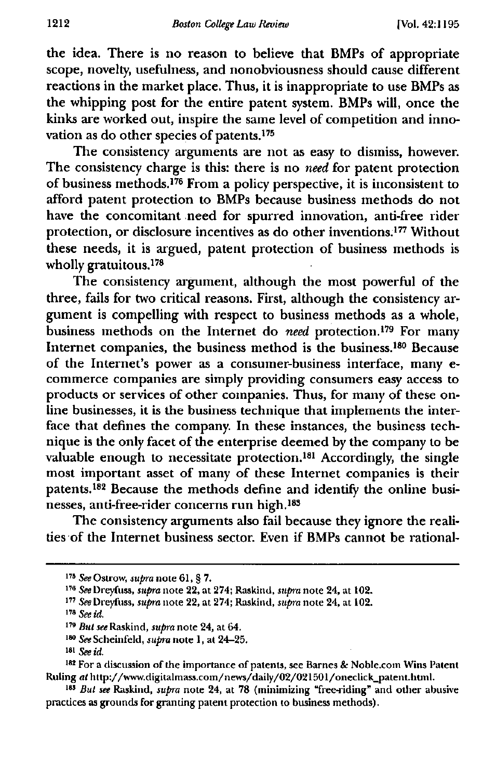**the idea. There is no reason to believe that BMPs of appropriate scope, novelty, usefulness, and nonobviousness should cause different reactions in the market place. Thus, it is inappropriate to use BMPs as the whipping post for the entire patent system. BMPs will, once the kinks are worked out, inspire the same level of competition and inno**vation as do other species of patents.<sup>175</sup>

**The consistency arguments are not as easy to dismiss, however. The consistency charge is this: there is no** *need* **for patent protection** of business methods.<sup>176</sup> From a policy perspective, it is inconsistent to **afford patent protection to BMPs because business methods do not have the concomitant need for spurred innovation, anti-free rider protection, or disclosure incentives as do other inventions.'" Without these needs, it is argued, patent protection of business methods is** wholly gratuitous.<sup>178</sup>

**The consistency argument, although the most powerful of the three, fails for two critical reasons. First, although the consistency argument is compelling with respect to business methods as a whole, business methods on the Internet do** *need* **protection.'" For many** Internet companies, the business method is the business.<sup>180</sup> Because **of the Internet's power as a consumer-business interface, many ecommerce companies are simply providing consumers easy access to products or services of other companies. Thus, for many of these online businesses, it is the business technique that implements the interface that defines the company. In these instances, the business technique is the only facet of the enterprise deemed by the company to be** valuable enough to necessitate protection.<sup>181</sup> Accordingly, the single **most important asset of many of these Internet companies is their** patents.<sup>182</sup> Because the methods define and identify the online businesses, anti-free-rider concerns run high.<sup>183</sup>

**The consistency arguments also fail because they ignore the realities of the Internet business sector. Even if BMPs cannot be rational-**

**<sup>175</sup>** *See* Ostrow, supra note 61, § 7.

**<sup>176</sup>** *See Dreyfuss, supra* note 22, at 274; Raskind, supra note 24, at 102.

**<sup>177</sup>** *See Dreyiiiss, supra* note 22, at 274; Raskind, *supra* note 24, at 102.

**<sup>178</sup>** *See id.*

**<sup>179</sup>** *But see* Raskind, *supra* note 24, at 64.

*<sup>180</sup> See* Scheinfeld, *supra* note 1, at 24-25.

**MI** *See id.*

<sup>&</sup>lt;sup>182</sup> For a discussion of the importance of patents, see Barnes & Noble.com Wins Patent Ruling at http://www.digitalmass.com/news/daily/02/021501/oneclick\_patent.html.

**<sup>165</sup>** *But see* Raskind, *supra* note 24, at 78 (minimizing "free-riding" and other abusive practices as grounds for granting patent protection to business methods).